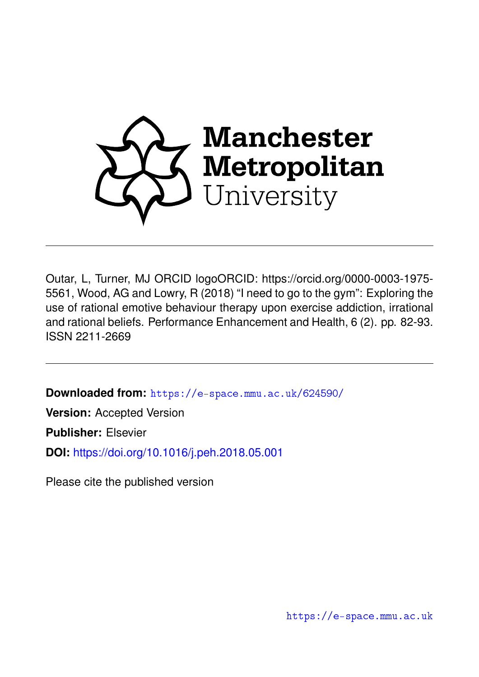

Outar, L, Turner, MJ ORCID logoORCID: https://orcid.org/0000-0003-1975- 5561, Wood, AG and Lowry, R (2018) "I need to go to the gym": Exploring the use of rational emotive behaviour therapy upon exercise addiction, irrational and rational beliefs. Performance Enhancement and Health, 6 (2). pp. 82-93. ISSN 2211-2669

**Downloaded from:** <https://e-space.mmu.ac.uk/624590/>

**Version:** Accepted Version

**Publisher:** Elsevier

**DOI:** <https://doi.org/10.1016/j.peh.2018.05.001>

Please cite the published version

<https://e-space.mmu.ac.uk>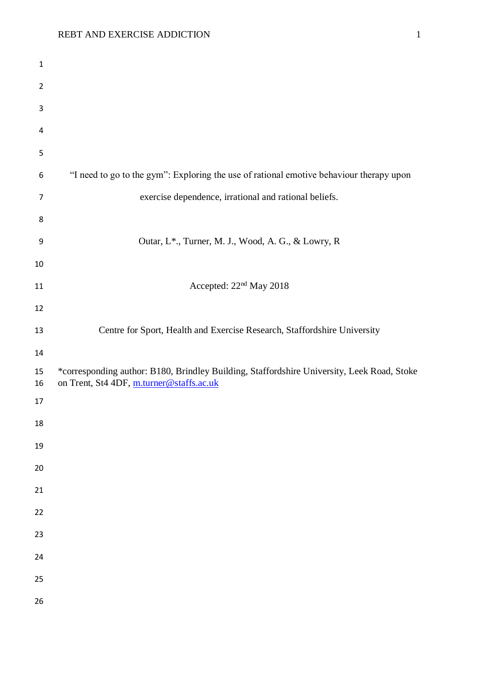| $\mathbf{1}$   |                                                                                                                                        |
|----------------|----------------------------------------------------------------------------------------------------------------------------------------|
| $\overline{2}$ |                                                                                                                                        |
| 3              |                                                                                                                                        |
| 4              |                                                                                                                                        |
| 5              |                                                                                                                                        |
| 6              | "I need to go to the gym": Exploring the use of rational emotive behaviour therapy upon                                                |
| $\overline{7}$ | exercise dependence, irrational and rational beliefs.                                                                                  |
| 8              |                                                                                                                                        |
| 9              | Outar, L*., Turner, M. J., Wood, A. G., & Lowry, R                                                                                     |
| 10             |                                                                                                                                        |
| 11             | Accepted: 22 <sup>nd</sup> May 2018                                                                                                    |
| 12             |                                                                                                                                        |
| 13             | Centre for Sport, Health and Exercise Research, Staffordshire University                                                               |
| 14             |                                                                                                                                        |
| 15<br>16       | *corresponding author: B180, Brindley Building, Staffordshire University, Leek Road, Stoke<br>on Trent, St4 4DF, m.turner@staffs.ac.uk |
| 17             |                                                                                                                                        |
| 18             |                                                                                                                                        |
| 19             |                                                                                                                                        |
| 20             |                                                                                                                                        |
| 21             |                                                                                                                                        |
| 22             |                                                                                                                                        |
| 23             |                                                                                                                                        |
| 24             |                                                                                                                                        |
| 25             |                                                                                                                                        |
| 26             |                                                                                                                                        |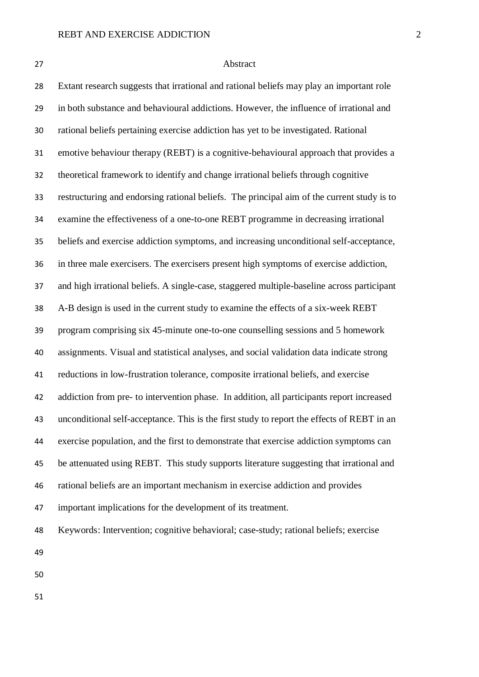#### Abstract

 Extant research suggests that irrational and rational beliefs may play an important role in both substance and behavioural addictions. However, the influence of irrational and rational beliefs pertaining exercise addiction has yet to be investigated. Rational emotive behaviour therapy (REBT) is a cognitive-behavioural approach that provides a theoretical framework to identify and change irrational beliefs through cognitive restructuring and endorsing rational beliefs. The principal aim of the current study is to examine the effectiveness of a one-to-one REBT programme in decreasing irrational beliefs and exercise addiction symptoms, and increasing unconditional self-acceptance, in three male exercisers. The exercisers present high symptoms of exercise addiction, and high irrational beliefs. A single-case, staggered multiple-baseline across participant A-B design is used in the current study to examine the effects of a six-week REBT program comprising six 45-minute one-to-one counselling sessions and 5 homework assignments. Visual and statistical analyses, and social validation data indicate strong reductions in low-frustration tolerance, composite irrational beliefs, and exercise addiction from pre- to intervention phase. In addition, all participants report increased unconditional self-acceptance. This is the first study to report the effects of REBT in an exercise population, and the first to demonstrate that exercise addiction symptoms can be attenuated using REBT. This study supports literature suggesting that irrational and rational beliefs are an important mechanism in exercise addiction and provides important implications for the development of its treatment. Keywords: Intervention; cognitive behavioral; case-study; rational beliefs; exercise

- 
-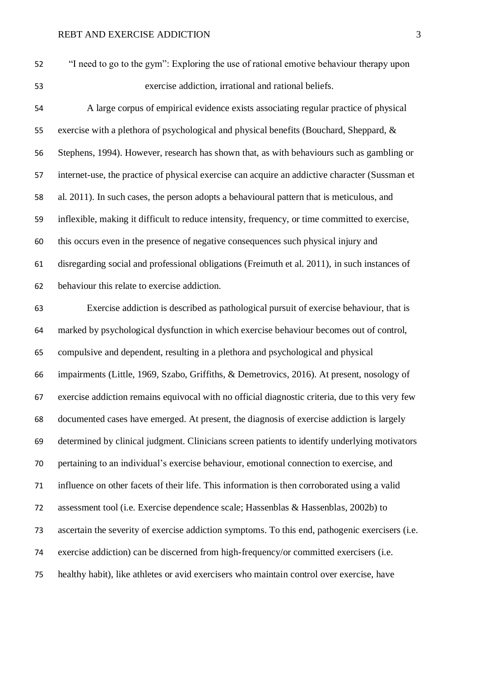"I need to go to the gym": Exploring the use of rational emotive behaviour therapy upon exercise addiction, irrational and rational beliefs.

 A large corpus of empirical evidence exists associating regular practice of physical exercise with a plethora of psychological and physical benefits (Bouchard, Sheppard, & Stephens, 1994). However, research has shown that, as with behaviours such as gambling or internet-use, the practice of physical exercise can acquire an addictive character (Sussman et al. 2011). In such cases, the person adopts a behavioural pattern that is meticulous, and inflexible, making it difficult to reduce intensity, frequency, or time committed to exercise, this occurs even in the presence of negative consequences such physical injury and disregarding social and professional obligations (Freimuth et al. 2011), in such instances of behaviour this relate to exercise addiction.

 Exercise addiction is described as pathological pursuit of exercise behaviour, that is marked by psychological dysfunction in which exercise behaviour becomes out of control, compulsive and dependent, resulting in a plethora and psychological and physical impairments (Little, 1969, Szabo, Griffiths, & Demetrovics, 2016). At present, nosology of exercise addiction remains equivocal with no official diagnostic criteria, due to this very few documented cases have emerged. At present, the diagnosis of exercise addiction is largely determined by clinical judgment. Clinicians screen patients to identify underlying motivators pertaining to an individual's exercise behaviour, emotional connection to exercise, and influence on other facets of their life. This information is then corroborated using a valid assessment tool (i.e. Exercise dependence scale; Hassenblas & Hassenblas, 2002b) to ascertain the severity of exercise addiction symptoms. To this end, pathogenic exercisers (i.e. exercise addiction) can be discerned from high-frequency/or committed exercisers (i.e. healthy habit), like athletes or avid exercisers who maintain control over exercise, have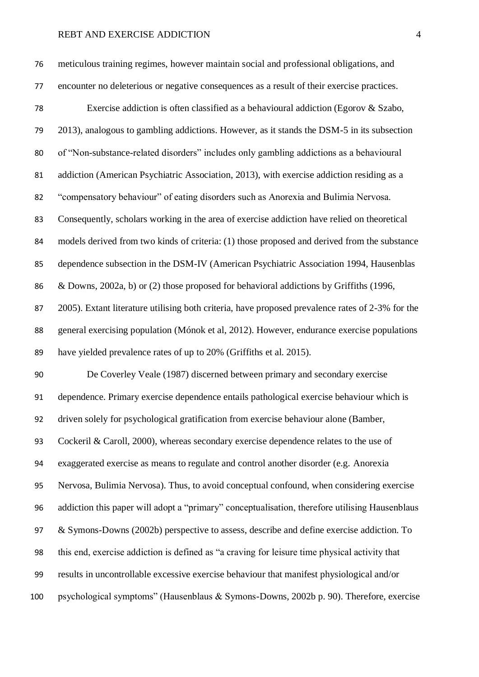meticulous training regimes, however maintain social and professional obligations, and encounter no deleterious or negative consequences as a result of their exercise practices. Exercise addiction is often classified as a behavioural addiction (Egorov & Szabo, 2013), analogous to gambling addictions. However, as it stands the DSM-5 in its subsection of "Non-substance-related disorders" includes only gambling addictions as a behavioural addiction (American Psychiatric Association, 2013), with exercise addiction residing as a "compensatory behaviour" of eating disorders such as Anorexia and Bulimia Nervosa. Consequently, scholars working in the area of exercise addiction have relied on theoretical models derived from two kinds of criteria: (1) those proposed and derived from the substance dependence subsection in the DSM-IV (American Psychiatric Association 1994, Hausenblas & Downs, 2002a, b) or (2) those proposed for behavioral addictions by Griffiths (1996, 2005). Extant literature utilising both criteria, have proposed prevalence rates of 2-3% for the general exercising population (Mónok et al, 2012). However, endurance exercise populations have yielded prevalence rates of up to 20% (Griffiths et al. 2015). De Coverley Veale (1987) discerned between primary and secondary exercise dependence. Primary exercise dependence entails pathological exercise behaviour which is driven solely for psychological gratification from exercise behaviour alone (Bamber, Cockeril & Caroll, 2000), whereas secondary exercise dependence relates to the use of exaggerated exercise as means to regulate and control another disorder (e.g. Anorexia Nervosa, Bulimia Nervosa). Thus, to avoid conceptual confound, when considering exercise addiction this paper will adopt a "primary" conceptualisation, therefore utilising Hausenblaus & Symons-Downs (2002b) perspective to assess, describe and define exercise addiction. To this end, exercise addiction is defined as "a craving for leisure time physical activity that results in uncontrollable excessive exercise behaviour that manifest physiological and/or

psychological symptoms" (Hausenblaus & Symons-Downs, 2002b p. 90). Therefore, exercise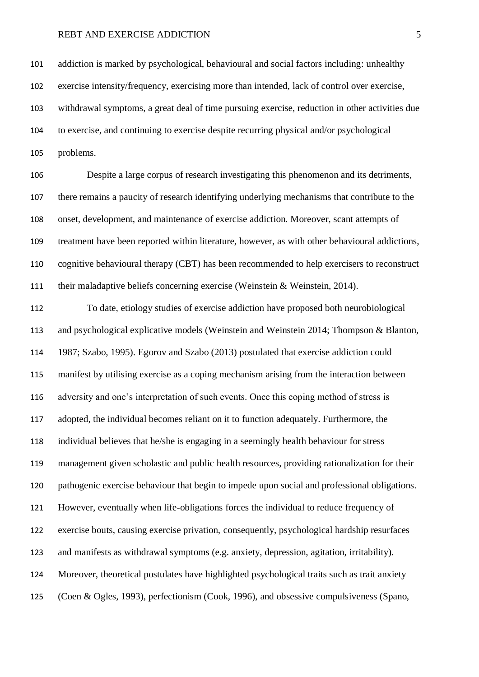addiction is marked by psychological, behavioural and social factors including: unhealthy exercise intensity/frequency, exercising more than intended, lack of control over exercise, withdrawal symptoms, a great deal of time pursuing exercise, reduction in other activities due to exercise, and continuing to exercise despite recurring physical and/or psychological problems.

 Despite a large corpus of research investigating this phenomenon and its detriments, there remains a paucity of research identifying underlying mechanisms that contribute to the onset, development, and maintenance of exercise addiction. Moreover, scant attempts of treatment have been reported within literature, however, as with other behavioural addictions, cognitive behavioural therapy (CBT) has been recommended to help exercisers to reconstruct their maladaptive beliefs concerning exercise (Weinstein & Weinstein, 2014).

 To date, etiology studies of exercise addiction have proposed both neurobiological and psychological explicative models (Weinstein and Weinstein 2014; Thompson & Blanton, 1987; Szabo, 1995). Egorov and Szabo (2013) postulated that exercise addiction could manifest by utilising exercise as a coping mechanism arising from the interaction between adversity and one's interpretation of such events. Once this coping method of stress is adopted, the individual becomes reliant on it to function adequately. Furthermore, the individual believes that he/she is engaging in a seemingly health behaviour for stress management given scholastic and public health resources, providing rationalization for their pathogenic exercise behaviour that begin to impede upon social and professional obligations. However, eventually when life-obligations forces the individual to reduce frequency of exercise bouts, causing exercise privation, consequently, psychological hardship resurfaces and manifests as withdrawal symptoms (e.g. anxiety, depression, agitation, irritability). Moreover, theoretical postulates have highlighted psychological traits such as trait anxiety (Coen & Ogles, 1993), perfectionism (Cook, 1996), and obsessive compulsiveness (Spano,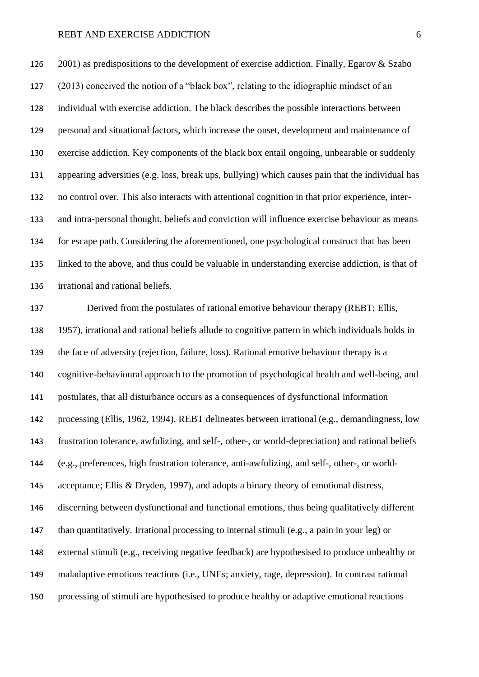126 2001) as predispositions to the development of exercise addiction. Finally, Egarov & Szabo (2013) conceived the notion of a "black box", relating to the idiographic mindset of an individual with exercise addiction. The black describes the possible interactions between personal and situational factors, which increase the onset, development and maintenance of exercise addiction. Key components of the black box entail ongoing, unbearable or suddenly appearing adversities (e.g. loss, break ups, bullying) which causes pain that the individual has no control over. This also interacts with attentional cognition in that prior experience, inter- and intra-personal thought, beliefs and conviction will influence exercise behaviour as means for escape path. Considering the aforementioned, one psychological construct that has been linked to the above, and thus could be valuable in understanding exercise addiction, is that of irrational and rational beliefs.

 Derived from the postulates of rational emotive behaviour therapy (REBT; Ellis, 1957), irrational and rational beliefs allude to cognitive pattern in which individuals holds in the face of adversity (rejection, failure, loss). Rational emotive behaviour therapy is a cognitive-behavioural approach to the promotion of psychological health and well-being, and postulates, that all disturbance occurs as a consequences of dysfunctional information processing (Ellis, 1962, 1994). REBT delineates between irrational (e.g., demandingness, low frustration tolerance, awfulizing, and self-, other-, or world-depreciation) and rational beliefs (e.g., preferences, high frustration tolerance, anti-awfulizing, and self-, other-, or world-145 acceptance; Ellis & Dryden, 1997), and adopts a binary theory of emotional distress, discerning between dysfunctional and functional emotions, thus being qualitatively different than quantitatively. Irrational processing to internal stimuli (e.g., a pain in your leg) or external stimuli (e.g., receiving negative feedback) are hypothesised to produce unhealthy or maladaptive emotions reactions (i.e., UNEs; anxiety, rage, depression). In contrast rational processing of stimuli are hypothesised to produce healthy or adaptive emotional reactions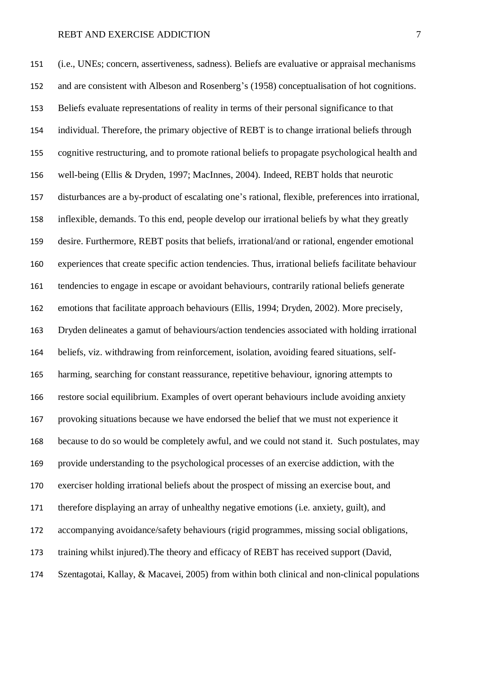(i.e., UNEs; concern, assertiveness, sadness). Beliefs are evaluative or appraisal mechanisms and are consistent with Albeson and Rosenberg's (1958) conceptualisation of hot cognitions. Beliefs evaluate representations of reality in terms of their personal significance to that individual. Therefore, the primary objective of REBT is to change irrational beliefs through cognitive restructuring, and to promote rational beliefs to propagate psychological health and well-being (Ellis & Dryden, 1997; MacInnes, 2004). Indeed, REBT holds that neurotic disturbances are a by-product of escalating one's rational, flexible, preferences into irrational, inflexible, demands. To this end, people develop our irrational beliefs by what they greatly desire. Furthermore, REBT posits that beliefs, irrational/and or rational, engender emotional experiences that create specific action tendencies. Thus, irrational beliefs facilitate behaviour tendencies to engage in escape or avoidant behaviours, contrarily rational beliefs generate emotions that facilitate approach behaviours (Ellis, 1994; Dryden, 2002). More precisely, Dryden delineates a gamut of behaviours/action tendencies associated with holding irrational beliefs, viz. withdrawing from reinforcement, isolation, avoiding feared situations, self- harming, searching for constant reassurance, repetitive behaviour, ignoring attempts to restore social equilibrium. Examples of overt operant behaviours include avoiding anxiety provoking situations because we have endorsed the belief that we must not experience it because to do so would be completely awful, and we could not stand it. Such postulates, may provide understanding to the psychological processes of an exercise addiction, with the exerciser holding irrational beliefs about the prospect of missing an exercise bout, and therefore displaying an array of unhealthy negative emotions (i.e. anxiety, guilt), and accompanying avoidance/safety behaviours (rigid programmes, missing social obligations, training whilst injured).The theory and efficacy of REBT has received support (David, Szentagotai, Kallay, & Macavei, 2005) from within both clinical and non-clinical populations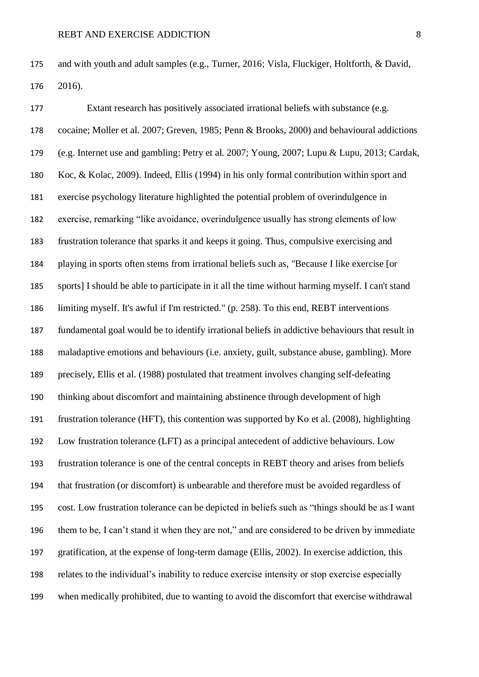and with youth and adult samples (e.g., Turner, 2016; Visla, Fluckiger, Holtforth, & David, 2016).

 Extant research has positively associated irrational beliefs with substance (e.g. cocaine; Moller et al. 2007; Greven, 1985; Penn & Brooks, 2000) and behavioural addictions (e.g. Internet use and gambling: Petry et al. 2007; Young, 2007; Lupu & Lupu, 2013; Cardak, Koc, & Kolac, 2009). Indeed, Ellis (1994) in his only formal contribution within sport and exercise psychology literature highlighted the potential problem of overindulgence in exercise, remarking "like avoidance, overindulgence usually has strong elements of low frustration tolerance that sparks it and keeps it going. Thus, compulsive exercising and playing in sports often stems from irrational beliefs such as, "Because I like exercise [or sports] I should be able to participate in it all the time without harming myself. I can't stand limiting myself. It's awful if I'm restricted." (p. 258). To this end, REBT interventions fundamental goal would be to identify irrational beliefs in addictive behaviours that result in maladaptive emotions and behaviours (i.e. anxiety, guilt, substance abuse, gambling). More precisely, Ellis et al. (1988) postulated that treatment involves changing self-defeating thinking about discomfort and maintaining abstinence through development of high frustration tolerance (HFT), this contention was supported by Ko et al. (2008), highlighting Low frustration tolerance (LFT) as a principal antecedent of addictive behaviours. Low frustration tolerance is one of the central concepts in REBT theory and arises from beliefs that frustration (or discomfort) is unbearable and therefore must be avoided regardless of cost. Low frustration tolerance can be depicted in beliefs such as "things should be as I want them to be, I can't stand it when they are not," and are considered to be driven by immediate gratification, at the expense of long-term damage (Ellis, 2002). In exercise addiction, this relates to the individual's inability to reduce exercise intensity or stop exercise especially when medically prohibited, due to wanting to avoid the discomfort that exercise withdrawal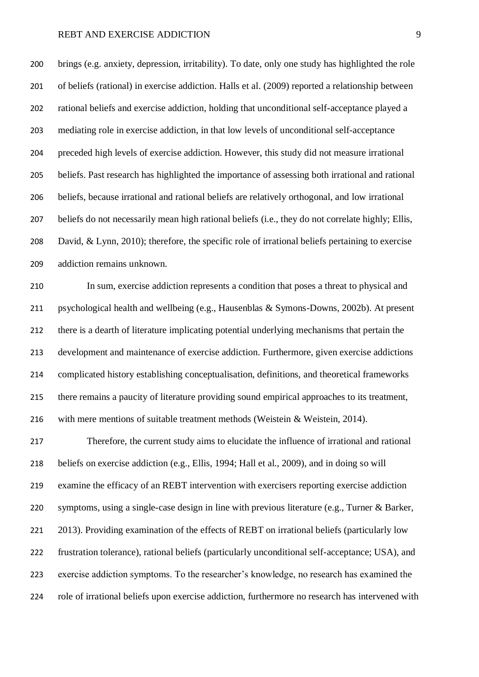brings (e.g. anxiety, depression, irritability). To date, only one study has highlighted the role of beliefs (rational) in exercise addiction. Halls et al. (2009) reported a relationship between rational beliefs and exercise addiction, holding that unconditional self-acceptance played a mediating role in exercise addiction, in that low levels of unconditional self-acceptance preceded high levels of exercise addiction. However, this study did not measure irrational beliefs. Past research has highlighted the importance of assessing both irrational and rational beliefs, because irrational and rational beliefs are relatively orthogonal, and low irrational beliefs do not necessarily mean high rational beliefs (i.e., they do not correlate highly; Ellis, 208 David, & Lynn, 2010); therefore, the specific role of irrational beliefs pertaining to exercise addiction remains unknown.

 In sum, exercise addiction represents a condition that poses a threat to physical and psychological health and wellbeing (e.g., Hausenblas & Symons-Downs, 2002b). At present there is a dearth of literature implicating potential underlying mechanisms that pertain the development and maintenance of exercise addiction. Furthermore, given exercise addictions complicated history establishing conceptualisation, definitions, and theoretical frameworks there remains a paucity of literature providing sound empirical approaches to its treatment, with mere mentions of suitable treatment methods (Weistein & Weistein, 2014).

 Therefore, the current study aims to elucidate the influence of irrational and rational beliefs on exercise addiction (e.g., Ellis, 1994; Hall et al., 2009), and in doing so will examine the efficacy of an REBT intervention with exercisers reporting exercise addiction symptoms, using a single-case design in line with previous literature (e.g., Turner & Barker, 2013). Providing examination of the effects of REBT on irrational beliefs (particularly low frustration tolerance), rational beliefs (particularly unconditional self-acceptance; USA), and exercise addiction symptoms. To the researcher's knowledge, no research has examined the role of irrational beliefs upon exercise addiction, furthermore no research has intervened with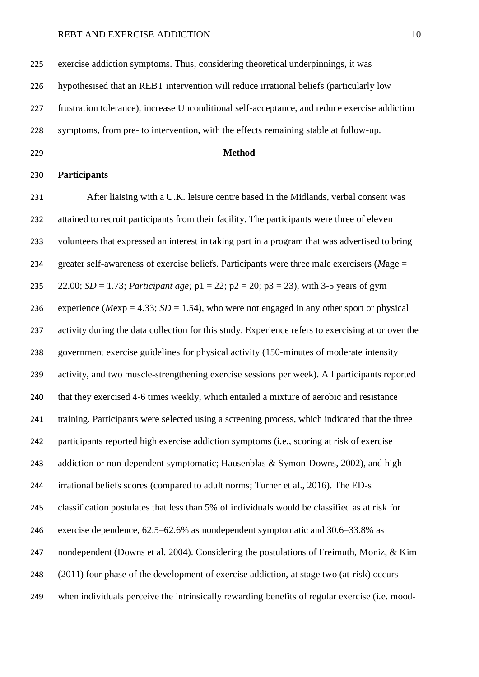exercise addiction symptoms. Thus, considering theoretical underpinnings, it was

hypothesised that an REBT intervention will reduce irrational beliefs (particularly low

frustration tolerance), increase Unconditional self-acceptance, and reduce exercise addiction

symptoms, from pre- to intervention, with the effects remaining stable at follow-up.

**Method**

# **Participants**

 After liaising with a U.K. leisure centre based in the Midlands, verbal consent was attained to recruit participants from their facility. The participants were three of eleven volunteers that expressed an interest in taking part in a program that was advertised to bring greater self-awareness of exercise beliefs. Participants were three male exercisers (*M*age = 22.00; *SD* = 1.73; *Participant age;* p1 = 22; p2 = 20; p3 = 23), with 3-5 years of gym 236 experience ( $M \text{exp} = 4.33$ ;  $SD = 1.54$ ), who were not engaged in any other sport or physical activity during the data collection for this study. Experience refers to exercising at or over the government exercise guidelines for physical activity (150-minutes of moderate intensity activity, and two muscle-strengthening exercise sessions per week). All participants reported that they exercised 4-6 times weekly, which entailed a mixture of aerobic and resistance training. Participants were selected using a screening process, which indicated that the three participants reported high exercise addiction symptoms (i.e., scoring at risk of exercise 243 addiction or non-dependent symptomatic; Hausenblas & Symon-Downs, 2002), and high irrational beliefs scores (compared to adult norms; Turner et al., 2016). The ED-s classification postulates that less than 5% of individuals would be classified as at risk for exercise dependence, 62.5–62.6% as nondependent symptomatic and 30.6–33.8% as nondependent (Downs et al. 2004). Considering the postulations of Freimuth, Moniz, & Kim (2011) four phase of the development of exercise addiction, at stage two (at-risk) occurs when individuals perceive the intrinsically rewarding benefits of regular exercise (i.e. mood-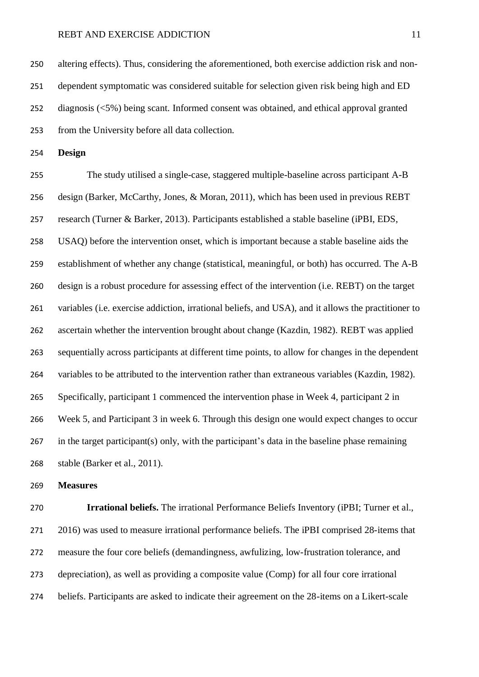altering effects). Thus, considering the aforementioned, both exercise addiction risk and non- dependent symptomatic was considered suitable for selection given risk being high and ED diagnosis (<5%) being scant. Informed consent was obtained, and ethical approval granted from the University before all data collection.

**Design**

 The study utilised a single-case, staggered multiple-baseline across participant A-B design (Barker, McCarthy, Jones, & Moran, 2011), which has been used in previous REBT research (Turner & Barker, 2013). Participants established a stable baseline (iPBI, EDS, USAQ) before the intervention onset, which is important because a stable baseline aids the establishment of whether any change (statistical, meaningful, or both) has occurred. The A-B design is a robust procedure for assessing effect of the intervention (i.e. REBT) on the target variables (i.e. exercise addiction, irrational beliefs, and USA), and it allows the practitioner to ascertain whether the intervention brought about change (Kazdin, 1982). REBT was applied sequentially across participants at different time points, to allow for changes in the dependent variables to be attributed to the intervention rather than extraneous variables (Kazdin, 1982). Specifically, participant 1 commenced the intervention phase in Week 4, participant 2 in Week 5, and Participant 3 in week 6. Through this design one would expect changes to occur in the target participant(s) only, with the participant's data in the baseline phase remaining stable (Barker et al., 2011).

**Measures** 

 **Irrational beliefs.** The irrational Performance Beliefs Inventory (iPBI; Turner et al., 2016) was used to measure irrational performance beliefs. The iPBI comprised 28-items that measure the four core beliefs (demandingness, awfulizing, low-frustration tolerance, and depreciation), as well as providing a composite value (Comp) for all four core irrational beliefs. Participants are asked to indicate their agreement on the 28-items on a Likert-scale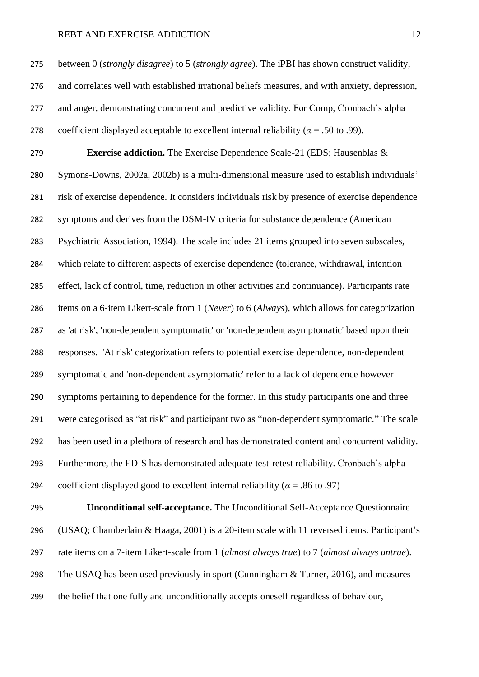between 0 (*strongly disagree*) to 5 (*strongly agree*). The iPBI has shown construct validity,

and correlates well with established irrational beliefs measures, and with anxiety, depression,

- and anger, demonstrating concurrent and predictive validity. For Comp, Cronbach's alpha
- 278 coefficient displayed acceptable to excellent internal reliability ( $\alpha$  = .50 to .99).

 **Exercise addiction.** The Exercise Dependence Scale-21 (EDS; Hausenblas & Symons-Downs, 2002a, 2002b) is a multi-dimensional measure used to establish individuals' risk of exercise dependence. It considers individuals risk by presence of exercise dependence symptoms and derives from the DSM-IV criteria for substance dependence (American Psychiatric Association, 1994). The scale includes 21 items grouped into seven subscales, which relate to different aspects of exercise dependence (tolerance, withdrawal, intention effect, lack of control, time, reduction in other activities and continuance). Participants rate items on a 6-item Likert-scale from 1 (*Never*) to 6 (*Always*), which allows for categorization as 'at risk', 'non-dependent symptomatic' or 'non-dependent asymptomatic' based upon their responses. 'At risk' categorization refers to potential exercise dependence, non-dependent symptomatic and 'non-dependent asymptomatic' refer to a lack of dependence however symptoms pertaining to dependence for the former. In this study participants one and three were categorised as "at risk" and participant two as "non-dependent symptomatic." The scale has been used in a plethora of research and has demonstrated content and concurrent validity. Furthermore, the ED-S has demonstrated adequate test-retest reliability. Cronbach's alpha 294 coefficient displayed good to excellent internal reliability ( $\alpha$  = .86 to .97)

 **Unconditional self-acceptance.** The Unconditional Self-Acceptance Questionnaire (USAQ; Chamberlain & Haaga, 2001) is a 20-item scale with 11 reversed items. Participant's rate items on a 7-item Likert-scale from 1 (*almost always true*) to 7 (*almost always untrue*). The USAQ has been used previously in sport (Cunningham & Turner, 2016), and measures the belief that one fully and unconditionally accepts oneself regardless of behaviour,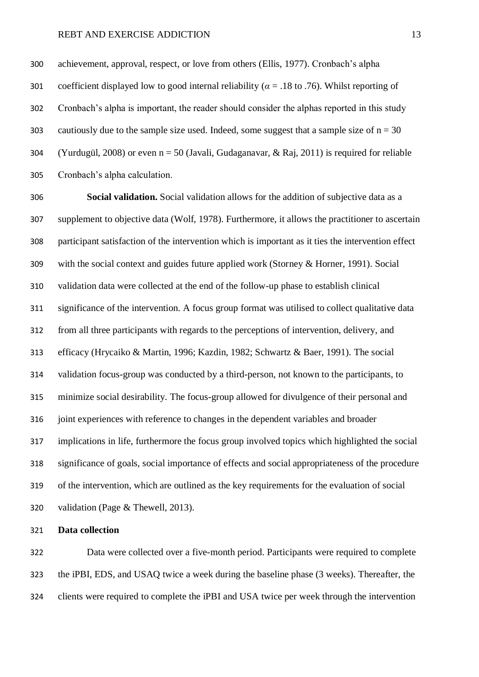achievement, approval, respect, or love from others (Ellis, 1977). Cronbach's alpha coefficient displayed low to good internal reliability (*α* = .18 to .76). Whilst reporting of Cronbach's alpha is important, the reader should consider the alphas reported in this study 303 cautiously due to the sample size used. Indeed, some suggest that a sample size of  $n = 30$ 304 (Yurdugül, 2008) or even  $n = 50$  (Javali, Gudaganavar, & Raj, 2011) is required for reliable Cronbach's alpha calculation.

 **Social validation.** Social validation allows for the addition of subjective data as a supplement to objective data (Wolf, 1978). Furthermore, it allows the practitioner to ascertain participant satisfaction of the intervention which is important as it ties the intervention effect with the social context and guides future applied work (Storney & Horner, 1991). Social validation data were collected at the end of the follow-up phase to establish clinical significance of the intervention. A focus group format was utilised to collect qualitative data from all three participants with regards to the perceptions of intervention, delivery, and efficacy (Hrycaiko & Martin, 1996; Kazdin, 1982; Schwartz & Baer, 1991). The social validation focus-group was conducted by a third-person, not known to the participants, to minimize social desirability. The focus-group allowed for divulgence of their personal and joint experiences with reference to changes in the dependent variables and broader implications in life, furthermore the focus group involved topics which highlighted the social significance of goals, social importance of effects and social appropriateness of the procedure of the intervention, which are outlined as the key requirements for the evaluation of social validation (Page & Thewell, 2013).

**Data collection**

 Data were collected over a five-month period. Participants were required to complete the iPBI, EDS, and USAQ twice a week during the baseline phase (3 weeks). Thereafter, the clients were required to complete the iPBI and USA twice per week through the intervention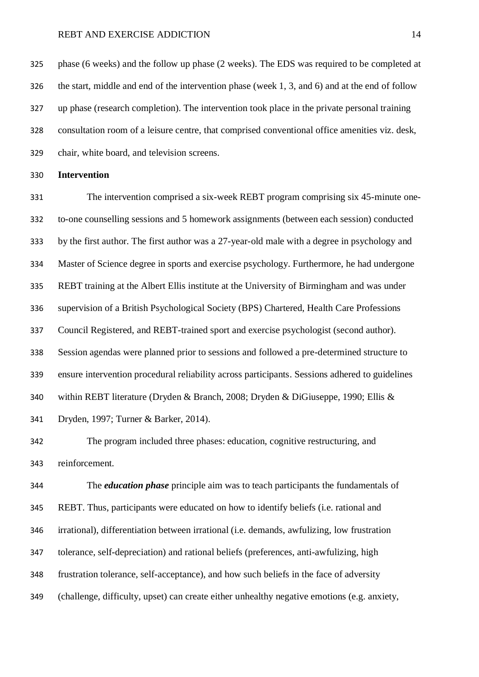phase (6 weeks) and the follow up phase (2 weeks). The EDS was required to be completed at the start, middle and end of the intervention phase (week 1, 3, and 6) and at the end of follow up phase (research completion). The intervention took place in the private personal training consultation room of a leisure centre, that comprised conventional office amenities viz. desk, chair, white board, and television screens.

#### **Intervention**

 The intervention comprised a six-week REBT program comprising six 45-minute one- to-one counselling sessions and 5 homework assignments (between each session) conducted by the first author. The first author was a 27-year-old male with a degree in psychology and Master of Science degree in sports and exercise psychology. Furthermore, he had undergone REBT training at the Albert Ellis institute at the University of Birmingham and was under supervision of a British Psychological Society (BPS) Chartered, Health Care Professions Council Registered, and REBT-trained sport and exercise psychologist (second author). Session agendas were planned prior to sessions and followed a pre-determined structure to ensure intervention procedural reliability across participants. Sessions adhered to guidelines within REBT literature (Dryden & Branch, 2008; Dryden & DiGiuseppe, 1990; Ellis & Dryden, 1997; Turner & Barker, 2014).

 The program included three phases: education, cognitive restructuring, and reinforcement.

 The *education phase* principle aim was to teach participants the fundamentals of REBT. Thus, participants were educated on how to identify beliefs (i.e. rational and irrational), differentiation between irrational (i.e. demands, awfulizing, low frustration tolerance, self-depreciation) and rational beliefs (preferences, anti-awfulizing, high frustration tolerance, self-acceptance), and how such beliefs in the face of adversity (challenge, difficulty, upset) can create either unhealthy negative emotions (e.g. anxiety,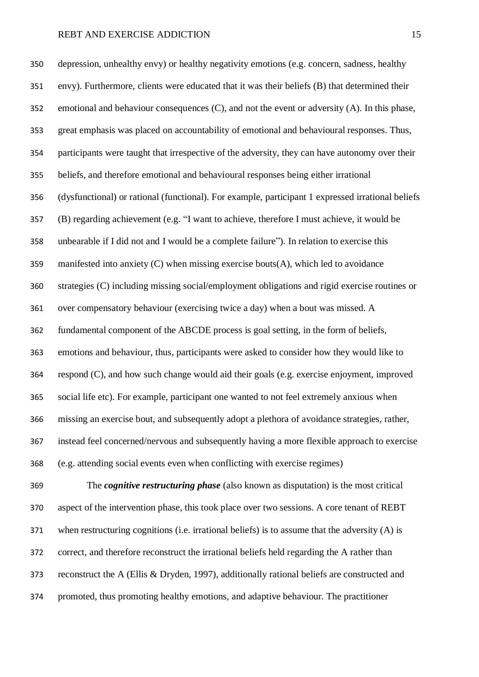depression, unhealthy envy) or healthy negativity emotions (e.g. concern, sadness, healthy envy). Furthermore, clients were educated that it was their beliefs (B) that determined their emotional and behaviour consequences (C), and not the event or adversity (A). In this phase, great emphasis was placed on accountability of emotional and behavioural responses. Thus, participants were taught that irrespective of the adversity, they can have autonomy over their beliefs, and therefore emotional and behavioural responses being either irrational (dysfunctional) or rational (functional). For example, participant 1 expressed irrational beliefs (B) regarding achievement (e.g. "I want to achieve, therefore I must achieve, it would be unbearable if I did not and I would be a complete failure"). In relation to exercise this manifested into anxiety (C) when missing exercise bouts(A), which led to avoidance strategies (C) including missing social/employment obligations and rigid exercise routines or over compensatory behaviour (exercising twice a day) when a bout was missed. A fundamental component of the ABCDE process is goal setting, in the form of beliefs, emotions and behaviour, thus, participants were asked to consider how they would like to respond (C), and how such change would aid their goals (e.g. exercise enjoyment, improved social life etc). For example, participant one wanted to not feel extremely anxious when missing an exercise bout, and subsequently adopt a plethora of avoidance strategies, rather, instead feel concerned/nervous and subsequently having a more flexible approach to exercise (e.g. attending social events even when conflicting with exercise regimes)

 The *cognitive restructuring phase* (also known as disputation) is the most critical aspect of the intervention phase, this took place over two sessions. A core tenant of REBT when restructuring cognitions (i.e. irrational beliefs) is to assume that the adversity (A) is correct, and therefore reconstruct the irrational beliefs held regarding the A rather than reconstruct the A (Ellis & Dryden, 1997), additionally rational beliefs are constructed and promoted, thus promoting healthy emotions, and adaptive behaviour. The practitioner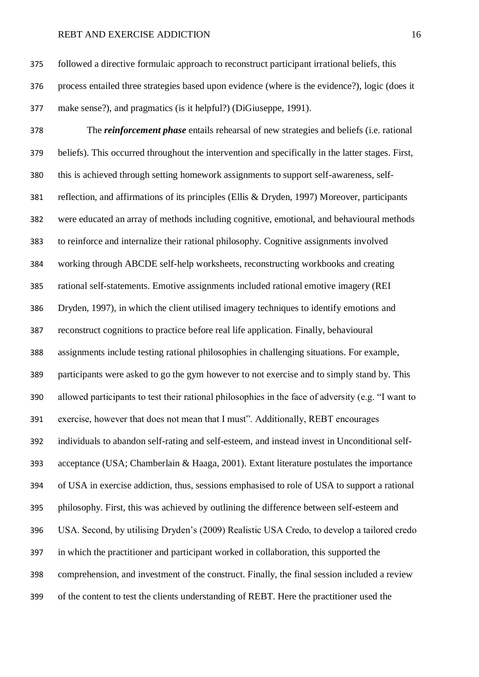followed a directive formulaic approach to reconstruct participant irrational beliefs, this process entailed three strategies based upon evidence (where is the evidence?), logic (does it

make sense?), and pragmatics (is it helpful?) (DiGiuseppe, 1991).

 The *reinforcement phase* entails rehearsal of new strategies and beliefs (i.e. rational beliefs). This occurred throughout the intervention and specifically in the latter stages. First, this is achieved through setting homework assignments to support self-awareness, self- reflection, and affirmations of its principles (Ellis & Dryden, 1997) Moreover, participants were educated an array of methods including cognitive, emotional, and behavioural methods to reinforce and internalize their rational philosophy. Cognitive assignments involved working through ABCDE self-help worksheets, reconstructing workbooks and creating rational self-statements. Emotive assignments included rational emotive imagery (REI Dryden, 1997), in which the client utilised imagery techniques to identify emotions and reconstruct cognitions to practice before real life application. Finally, behavioural assignments include testing rational philosophies in challenging situations. For example, participants were asked to go the gym however to not exercise and to simply stand by. This allowed participants to test their rational philosophies in the face of adversity (e.g. "I want to exercise, however that does not mean that I must". Additionally, REBT encourages individuals to abandon self-rating and self-esteem, and instead invest in Unconditional self- acceptance (USA; Chamberlain & Haaga, 2001). Extant literature postulates the importance of USA in exercise addiction, thus, sessions emphasised to role of USA to support a rational philosophy. First, this was achieved by outlining the difference between self-esteem and USA. Second, by utilising Dryden's (2009) Realistic USA Credo, to develop a tailored credo in which the practitioner and participant worked in collaboration, this supported the comprehension, and investment of the construct. Finally, the final session included a review of the content to test the clients understanding of REBT. Here the practitioner used the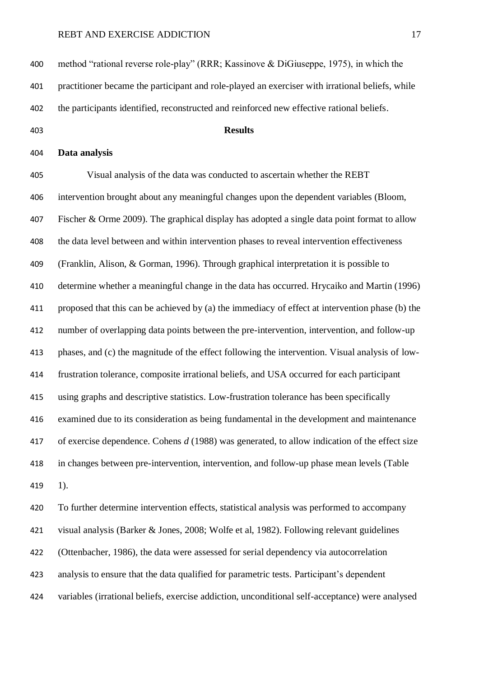method "rational reverse role-play" (RRR; Kassinove & DiGiuseppe, 1975), in which the

practitioner became the participant and role-played an exerciser with irrational beliefs, while

the participants identified, reconstructed and reinforced new effective rational beliefs.

# **Results**

#### **Data analysis**

 Visual analysis of the data was conducted to ascertain whether the REBT intervention brought about any meaningful changes upon the dependent variables (Bloom, Fischer & Orme 2009). The graphical display has adopted a single data point format to allow the data level between and within intervention phases to reveal intervention effectiveness (Franklin, Alison, & Gorman, 1996). Through graphical interpretation it is possible to determine whether a meaningful change in the data has occurred. Hrycaiko and Martin (1996) proposed that this can be achieved by (a) the immediacy of effect at intervention phase (b) the number of overlapping data points between the pre-intervention, intervention, and follow-up phases, and (c) the magnitude of the effect following the intervention. Visual analysis of low- frustration tolerance, composite irrational beliefs, and USA occurred for each participant using graphs and descriptive statistics. Low-frustration tolerance has been specifically examined due to its consideration as being fundamental in the development and maintenance of exercise dependence. Cohens *d* (1988) was generated, to allow indication of the effect size in changes between pre-intervention, intervention, and follow-up phase mean levels (Table 1).

 To further determine intervention effects, statistical analysis was performed to accompany visual analysis (Barker & Jones, 2008; Wolfe et al, 1982). Following relevant guidelines (Ottenbacher, 1986), the data were assessed for serial dependency via autocorrelation analysis to ensure that the data qualified for parametric tests. Participant's dependent variables (irrational beliefs, exercise addiction, unconditional self-acceptance) were analysed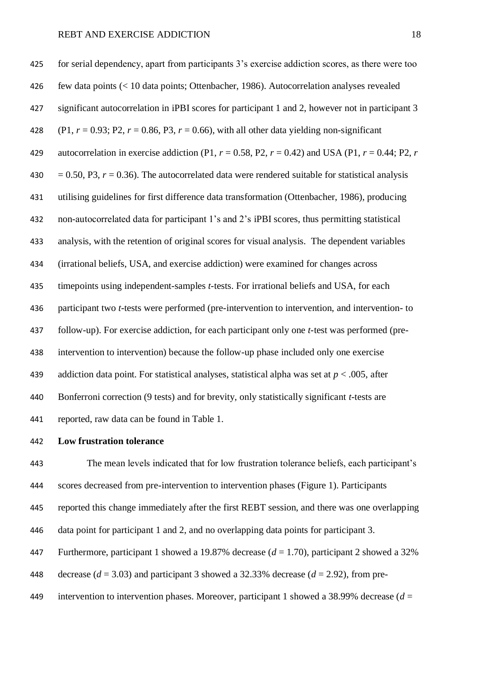| 425 | for serial dependency, apart from participants 3's exercise addiction scores, as there were too          |
|-----|----------------------------------------------------------------------------------------------------------|
| 426 | few data points (< 10 data points; Ottenbacher, 1986). Autocorrelation analyses revealed                 |
| 427 | significant autocorrelation in iPBI scores for participant 1 and 2, however not in participant 3         |
| 428 | $(P1, r = 0.93; P2, r = 0.86, P3, r = 0.66)$ , with all other data yielding non-significant              |
| 429 | autocorrelation in exercise addiction (P1, $r = 0.58$ , P2, $r = 0.42$ ) and USA (P1, $r = 0.44$ ; P2, r |
| 430 | $= 0.50$ , P3, $r = 0.36$ ). The autocorrelated data were rendered suitable for statistical analysis     |
| 431 | utilising guidelines for first difference data transformation (Ottenbacher, 1986), producing             |
| 432 | non-autocorrelated data for participant 1's and 2's iPBI scores, thus permitting statistical             |
| 433 | analysis, with the retention of original scores for visual analysis. The dependent variables             |
| 434 | (irrational beliefs, USA, and exercise addiction) were examined for changes across                       |
| 435 | timepoints using independent-samples <i>t</i> -tests. For irrational beliefs and USA, for each           |
| 436 | participant two <i>t</i> -tests were performed (pre-intervention to intervention, and intervention- to   |
| 437 | follow-up). For exercise addiction, for each participant only one $t$ -test was performed (pre-          |
| 438 | intervention to intervention) because the follow-up phase included only one exercise                     |
| 439 | addiction data point. For statistical analyses, statistical alpha was set at $p < .005$ , after          |
| 440 | Bonferroni correction (9 tests) and for brevity, only statistically significant <i>t</i> -tests are      |
| 441 | reported, raw data can be found in Table 1.                                                              |

## **Low frustration tolerance**

 The mean levels indicated that for low frustration tolerance beliefs, each participant's scores decreased from pre-intervention to intervention phases (Figure 1). Participants reported this change immediately after the first REBT session, and there was one overlapping data point for participant 1 and 2, and no overlapping data points for participant 3. Furthermore, participant 1 showed a 19.87% decrease (*d* = 1.70), participant 2 showed a 32% 448 decrease  $(d = 3.03)$  and participant 3 showed a 32.33% decrease  $(d = 2.92)$ , from pre-intervention to intervention phases. Moreover, participant 1 showed a 38.99% decrease (*d* =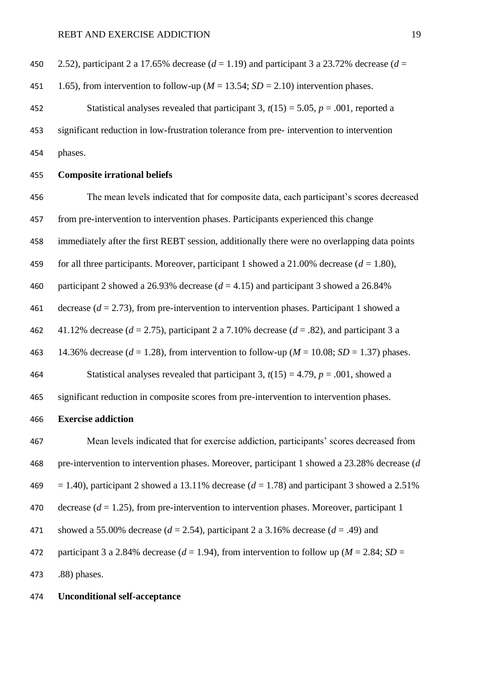450 2.52), participant 2 a 17.65% decrease (*d* = 1.19) and participant 3 a 23.72% decrease (*d* =

451 1.65), from intervention to follow-up ( $M = 13.54$ ;  $SD = 2.10$ ) intervention phases.

452 Statistical analyses revealed that participant 3, *t*(15) = 5.05, *p* = .001, reported a 453 significant reduction in low-frustration tolerance from pre- intervention to intervention 454 phases.

## 455 **Composite irrational beliefs**

456 The mean levels indicated that for composite data, each participant's scores decreased

457 from pre-intervention to intervention phases. Participants experienced this change

458 immediately after the first REBT session, additionally there were no overlapping data points

459 for all three participants. Moreover, participant 1 showed a  $21.00\%$  decrease ( $d = 1.80$ ),

460 participant 2 showed a 26.93% decrease  $(d = 4.15)$  and participant 3 showed a 26.84%

461 decrease  $(d = 2.73)$ , from pre-intervention to intervention phases. Participant 1 showed a

462 41.12% decrease  $(d = 2.75)$ , participant 2 a 7.10% decrease  $(d = .82)$ , and participant 3 a

463 14.36% decrease ( $d = 1.28$ ), from intervention to follow-up ( $M = 10.08$ ;  $SD = 1.37$ ) phases.

464 Statistical analyses revealed that participant 3,  $t(15) = 4.79$ ,  $p = .001$ , showed a

465 significant reduction in composite scores from pre-intervention to intervention phases.

## 466 **Exercise addiction**

467 Mean levels indicated that for exercise addiction, participants' scores decreased from

468 pre-intervention to intervention phases. Moreover, participant 1 showed a 23.28% decrease (*d* 

- 469  $= 1.40$ ), participant 2 showed a 13.11% decrease ( $d = 1.78$ ) and participant 3 showed a 2.51%
- 470 decrease  $(d = 1.25)$ , from pre-intervention to intervention phases. Moreover, participant 1

471 showed a 55.00% decrease (*d* = 2.54), participant 2 a 3.16% decrease (*d* = .49) and

472 participant 3 a 2.84% decrease ( $d = 1.94$ ), from intervention to follow up ( $M = 2.84$ ;  $SD =$ 

473 .88) phases.

## 474 **Unconditional self-acceptance**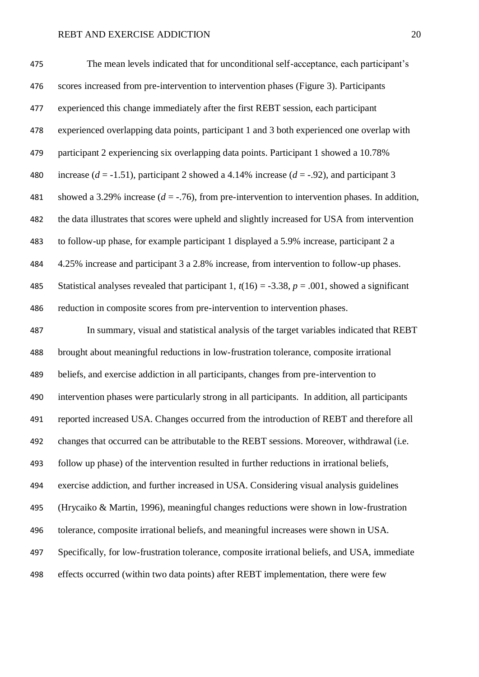The mean levels indicated that for unconditional self-acceptance, each participant's scores increased from pre-intervention to intervention phases (Figure 3). Participants experienced this change immediately after the first REBT session, each participant experienced overlapping data points, participant 1 and 3 both experienced one overlap with participant 2 experiencing six overlapping data points. Participant 1 showed a 10.78% 480 increase ( $d = -1.51$ ), participant 2 showed a 4.14% increase ( $d = -0.92$ ), and participant 3 481 showed a 3.29% increase  $(d = -.76)$ , from pre-intervention to intervention phases. In addition, the data illustrates that scores were upheld and slightly increased for USA from intervention to follow-up phase, for example participant 1 displayed a 5.9% increase, participant 2 a 4.25% increase and participant 3 a 2.8% increase, from intervention to follow-up phases. Statistical analyses revealed that participant 1, *t*(16) = -3.38, *p* = .001, showed a significant reduction in composite scores from pre-intervention to intervention phases.

 In summary, visual and statistical analysis of the target variables indicated that REBT brought about meaningful reductions in low-frustration tolerance, composite irrational beliefs, and exercise addiction in all participants, changes from pre-intervention to intervention phases were particularly strong in all participants. In addition, all participants reported increased USA. Changes occurred from the introduction of REBT and therefore all changes that occurred can be attributable to the REBT sessions. Moreover, withdrawal (i.e. follow up phase) of the intervention resulted in further reductions in irrational beliefs, exercise addiction, and further increased in USA. Considering visual analysis guidelines (Hrycaiko & Martin, 1996), meaningful changes reductions were shown in low-frustration tolerance, composite irrational beliefs, and meaningful increases were shown in USA. Specifically, for low-frustration tolerance, composite irrational beliefs, and USA, immediate effects occurred (within two data points) after REBT implementation, there were few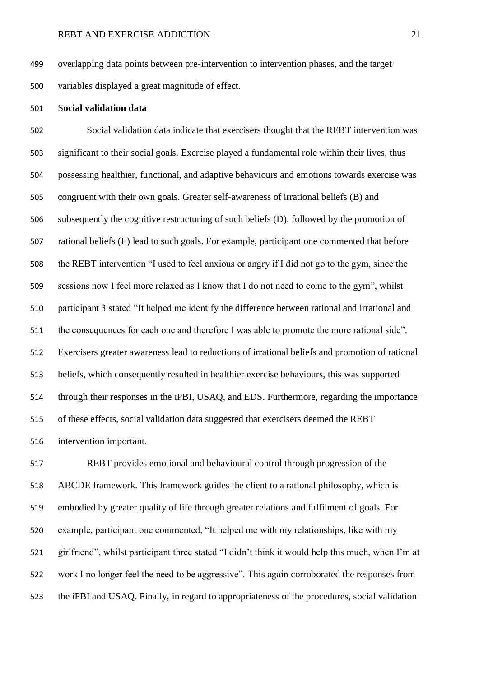overlapping data points between pre-intervention to intervention phases, and the target variables displayed a great magnitude of effect.

#### S**ocial validation data**

 Social validation data indicate that exercisers thought that the REBT intervention was significant to their social goals. Exercise played a fundamental role within their lives, thus possessing healthier, functional, and adaptive behaviours and emotions towards exercise was congruent with their own goals. Greater self-awareness of irrational beliefs (B) and subsequently the cognitive restructuring of such beliefs (D), followed by the promotion of rational beliefs (E) lead to such goals. For example, participant one commented that before the REBT intervention "I used to feel anxious or angry if I did not go to the gym, since the sessions now I feel more relaxed as I know that I do not need to come to the gym", whilst participant 3 stated "It helped me identify the difference between rational and irrational and the consequences for each one and therefore I was able to promote the more rational side". Exercisers greater awareness lead to reductions of irrational beliefs and promotion of rational beliefs, which consequently resulted in healthier exercise behaviours, this was supported through their responses in the iPBI, USAQ, and EDS. Furthermore, regarding the importance of these effects, social validation data suggested that exercisers deemed the REBT intervention important.

 REBT provides emotional and behavioural control through progression of the ABCDE framework. This framework guides the client to a rational philosophy, which is embodied by greater quality of life through greater relations and fulfilment of goals. For example, participant one commented, "It helped me with my relationships, like with my girlfriend", whilst participant three stated "I didn't think it would help this much, when I'm at work I no longer feel the need to be aggressive". This again corroborated the responses from the iPBI and USAQ. Finally, in regard to appropriateness of the procedures, social validation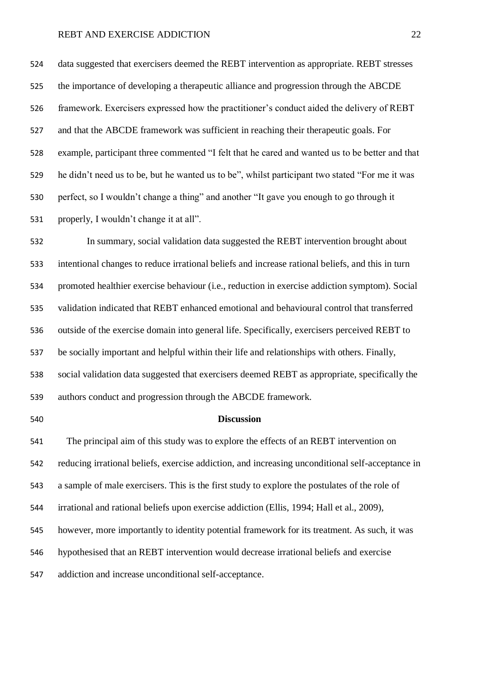data suggested that exercisers deemed the REBT intervention as appropriate. REBT stresses the importance of developing a therapeutic alliance and progression through the ABCDE framework. Exercisers expressed how the practitioner's conduct aided the delivery of REBT and that the ABCDE framework was sufficient in reaching their therapeutic goals. For example, participant three commented "I felt that he cared and wanted us to be better and that he didn't need us to be, but he wanted us to be", whilst participant two stated "For me it was perfect, so I wouldn't change a thing" and another "It gave you enough to go through it properly, I wouldn't change it at all".

 In summary, social validation data suggested the REBT intervention brought about intentional changes to reduce irrational beliefs and increase rational beliefs, and this in turn promoted healthier exercise behaviour (i.e., reduction in exercise addiction symptom). Social validation indicated that REBT enhanced emotional and behavioural control that transferred outside of the exercise domain into general life. Specifically, exercisers perceived REBT to be socially important and helpful within their life and relationships with others. Finally, social validation data suggested that exercisers deemed REBT as appropriate, specifically the authors conduct and progression through the ABCDE framework.

#### **Discussion**

 The principal aim of this study was to explore the effects of an REBT intervention on reducing irrational beliefs, exercise addiction, and increasing unconditional self-acceptance in a sample of male exercisers. This is the first study to explore the postulates of the role of irrational and rational beliefs upon exercise addiction (Ellis, 1994; Hall et al., 2009), however, more importantly to identity potential framework for its treatment. As such, it was hypothesised that an REBT intervention would decrease irrational beliefs and exercise addiction and increase unconditional self-acceptance.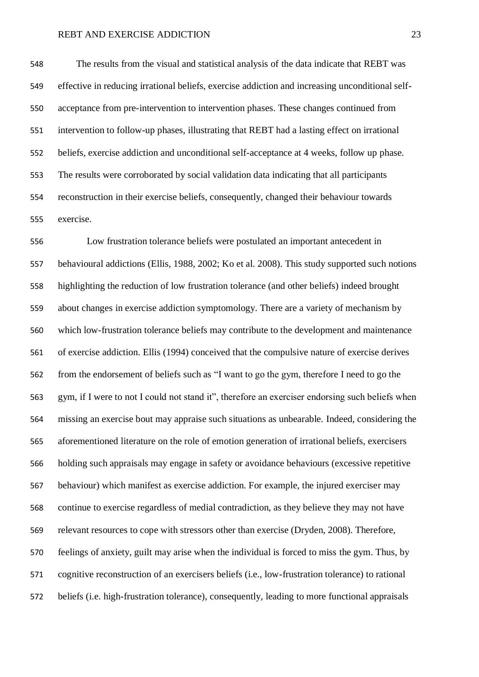The results from the visual and statistical analysis of the data indicate that REBT was effective in reducing irrational beliefs, exercise addiction and increasing unconditional self- acceptance from pre-intervention to intervention phases. These changes continued from intervention to follow-up phases, illustrating that REBT had a lasting effect on irrational beliefs, exercise addiction and unconditional self-acceptance at 4 weeks, follow up phase. The results were corroborated by social validation data indicating that all participants reconstruction in their exercise beliefs, consequently, changed their behaviour towards exercise.

 Low frustration tolerance beliefs were postulated an important antecedent in behavioural addictions (Ellis, 1988, 2002; Ko et al. 2008). This study supported such notions highlighting the reduction of low frustration tolerance (and other beliefs) indeed brought about changes in exercise addiction symptomology. There are a variety of mechanism by which low-frustration tolerance beliefs may contribute to the development and maintenance of exercise addiction. Ellis (1994) conceived that the compulsive nature of exercise derives from the endorsement of beliefs such as "I want to go the gym, therefore I need to go the gym, if I were to not I could not stand it", therefore an exerciser endorsing such beliefs when missing an exercise bout may appraise such situations as unbearable. Indeed, considering the aforementioned literature on the role of emotion generation of irrational beliefs, exercisers holding such appraisals may engage in safety or avoidance behaviours (excessive repetitive behaviour) which manifest as exercise addiction. For example, the injured exerciser may continue to exercise regardless of medial contradiction, as they believe they may not have relevant resources to cope with stressors other than exercise (Dryden, 2008). Therefore, feelings of anxiety, guilt may arise when the individual is forced to miss the gym. Thus, by cognitive reconstruction of an exercisers beliefs (i.e., low-frustration tolerance) to rational beliefs (i.e. high-frustration tolerance), consequently, leading to more functional appraisals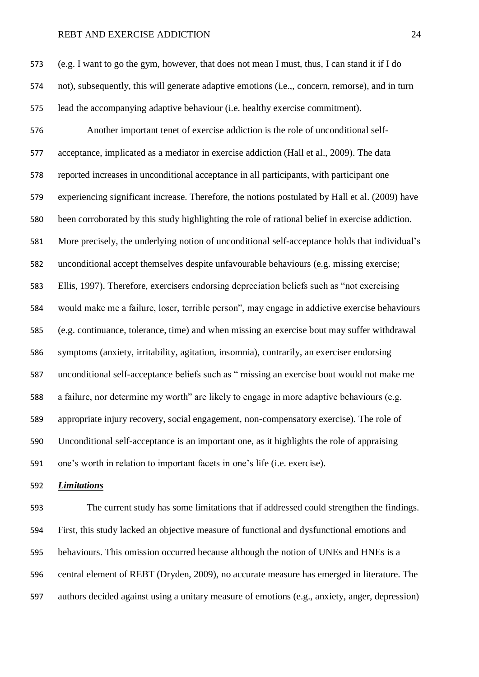(e.g. I want to go the gym, however, that does not mean I must, thus, I can stand it if I do not), subsequently, this will generate adaptive emotions (i.e.,, concern, remorse), and in turn lead the accompanying adaptive behaviour (i.e. healthy exercise commitment). Another important tenet of exercise addiction is the role of unconditional self- acceptance, implicated as a mediator in exercise addiction (Hall et al., 2009). The data reported increases in unconditional acceptance in all participants, with participant one experiencing significant increase. Therefore, the notions postulated by Hall et al. (2009) have been corroborated by this study highlighting the role of rational belief in exercise addiction. More precisely, the underlying notion of unconditional self-acceptance holds that individual's unconditional accept themselves despite unfavourable behaviours (e.g. missing exercise; Ellis, 1997). Therefore, exercisers endorsing depreciation beliefs such as "not exercising would make me a failure, loser, terrible person", may engage in addictive exercise behaviours (e.g. continuance, tolerance, time) and when missing an exercise bout may suffer withdrawal symptoms (anxiety, irritability, agitation, insomnia), contrarily, an exerciser endorsing unconditional self-acceptance beliefs such as " missing an exercise bout would not make me a failure, nor determine my worth" are likely to engage in more adaptive behaviours (e.g. appropriate injury recovery, social engagement, non-compensatory exercise). The role of Unconditional self-acceptance is an important one, as it highlights the role of appraising one's worth in relation to important facets in one's life (i.e. exercise).

*Limitations* 

 The current study has some limitations that if addressed could strengthen the findings. First, this study lacked an objective measure of functional and dysfunctional emotions and behaviours. This omission occurred because although the notion of UNEs and HNEs is a central element of REBT (Dryden, 2009), no accurate measure has emerged in literature. The authors decided against using a unitary measure of emotions (e.g., anxiety, anger, depression)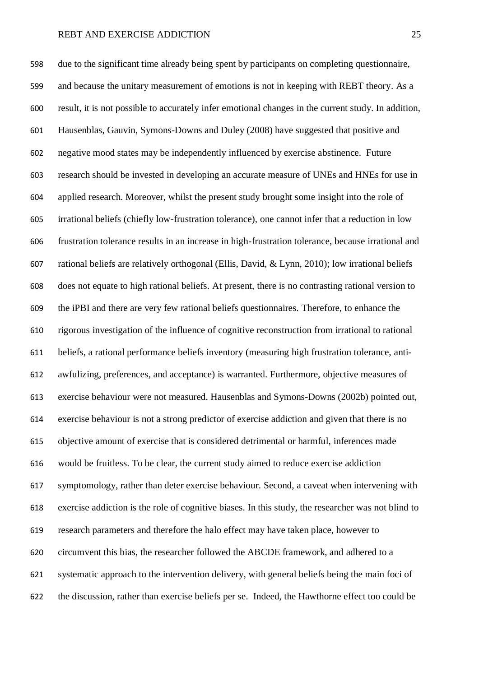due to the significant time already being spent by participants on completing questionnaire, and because the unitary measurement of emotions is not in keeping with REBT theory. As a result, it is not possible to accurately infer emotional changes in the current study. In addition, Hausenblas, Gauvin, Symons-Downs and Duley (2008) have suggested that positive and negative mood states may be independently influenced by exercise abstinence. Future research should be invested in developing an accurate measure of UNEs and HNEs for use in applied research. Moreover, whilst the present study brought some insight into the role of irrational beliefs (chiefly low-frustration tolerance), one cannot infer that a reduction in low frustration tolerance results in an increase in high-frustration tolerance, because irrational and rational beliefs are relatively orthogonal (Ellis, David, & Lynn, 2010); low irrational beliefs does not equate to high rational beliefs. At present, there is no contrasting rational version to the iPBI and there are very few rational beliefs questionnaires. Therefore, to enhance the rigorous investigation of the influence of cognitive reconstruction from irrational to rational beliefs, a rational performance beliefs inventory (measuring high frustration tolerance, anti- awfulizing, preferences, and acceptance) is warranted. Furthermore, objective measures of exercise behaviour were not measured. Hausenblas and Symons-Downs (2002b) pointed out, exercise behaviour is not a strong predictor of exercise addiction and given that there is no objective amount of exercise that is considered detrimental or harmful, inferences made would be fruitless. To be clear, the current study aimed to reduce exercise addiction symptomology, rather than deter exercise behaviour. Second, a caveat when intervening with exercise addiction is the role of cognitive biases. In this study, the researcher was not blind to research parameters and therefore the halo effect may have taken place, however to circumvent this bias, the researcher followed the ABCDE framework, and adhered to a systematic approach to the intervention delivery, with general beliefs being the main foci of the discussion, rather than exercise beliefs per se. Indeed, the Hawthorne effect too could be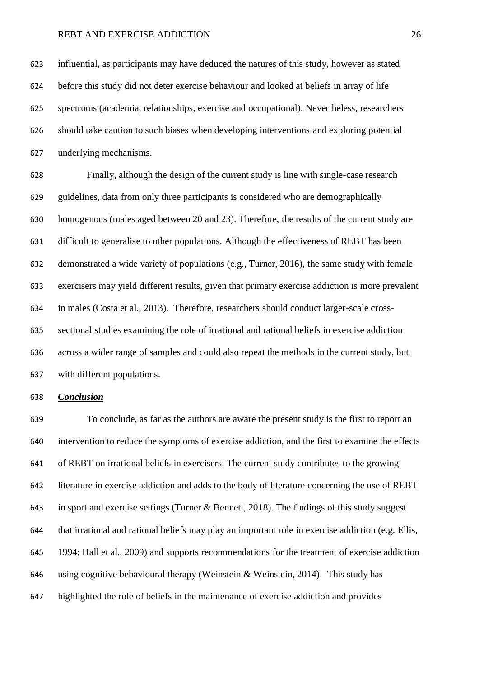influential, as participants may have deduced the natures of this study, however as stated before this study did not deter exercise behaviour and looked at beliefs in array of life spectrums (academia, relationships, exercise and occupational). Nevertheless, researchers should take caution to such biases when developing interventions and exploring potential underlying mechanisms.

 Finally, although the design of the current study is line with single-case research guidelines, data from only three participants is considered who are demographically homogenous (males aged between 20 and 23). Therefore, the results of the current study are difficult to generalise to other populations. Although the effectiveness of REBT has been demonstrated a wide variety of populations (e.g., Turner, 2016), the same study with female exercisers may yield different results, given that primary exercise addiction is more prevalent in males (Costa et al., 2013). Therefore, researchers should conduct larger-scale cross- sectional studies examining the role of irrational and rational beliefs in exercise addiction across a wider range of samples and could also repeat the methods in the current study, but with different populations.

## *Conclusion*

 To conclude, as far as the authors are aware the present study is the first to report an intervention to reduce the symptoms of exercise addiction, and the first to examine the effects of REBT on irrational beliefs in exercisers. The current study contributes to the growing literature in exercise addiction and adds to the body of literature concerning the use of REBT in sport and exercise settings (Turner & Bennett, 2018). The findings of this study suggest that irrational and rational beliefs may play an important role in exercise addiction (e.g. Ellis, 1994; Hall et al., 2009) and supports recommendations for the treatment of exercise addiction using cognitive behavioural therapy (Weinstein & Weinstein, 2014). This study has highlighted the role of beliefs in the maintenance of exercise addiction and provides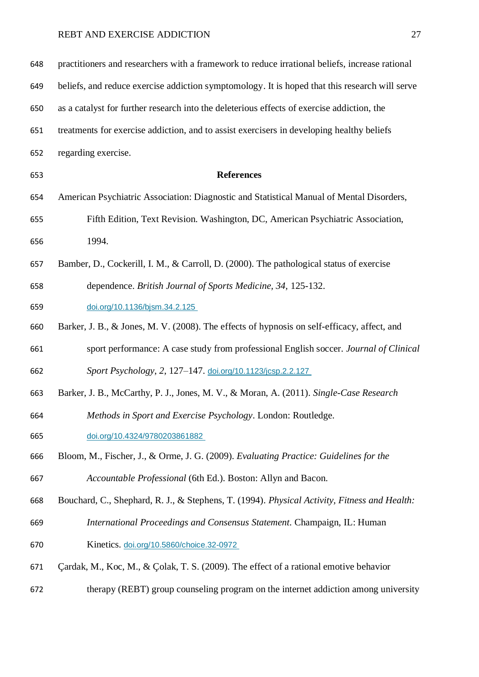| 648 | practitioners and researchers with a framework to reduce irrational beliefs, increase rational |
|-----|------------------------------------------------------------------------------------------------|
| 649 | beliefs, and reduce exercise addiction symptomology. It is hoped that this research will serve |
| 650 | as a catalyst for further research into the deleterious effects of exercise addiction, the     |
| 651 | treatments for exercise addiction, and to assist exercisers in developing healthy beliefs      |
| 652 | regarding exercise.                                                                            |
| 653 | <b>References</b>                                                                              |
| 654 | American Psychiatric Association: Diagnostic and Statistical Manual of Mental Disorders,       |
| 655 | Fifth Edition, Text Revision. Washington, DC, American Psychiatric Association,                |
| 656 | 1994.                                                                                          |
| 657 | Bamber, D., Cockerill, I. M., & Carroll, D. (2000). The pathological status of exercise        |
| 658 | dependence. British Journal of Sports Medicine, 34, 125-132.                                   |
| 659 | doi.org/10.1136/bjsm.34.2.125                                                                  |
| 660 | Barker, J. B., & Jones, M. V. (2008). The effects of hypnosis on self-efficacy, affect, and    |
| 661 | sport performance: A case study from professional English soccer. Journal of Clinical          |
| 662 | Sport Psychology, 2, 127–147. doi.org/10.1123/jcsp.2.2.127                                     |
| 663 | Barker, J. B., McCarthy, P. J., Jones, M. V., & Moran, A. (2011). Single-Case Research         |
| 664 | Methods in Sport and Exercise Psychology. London: Routledge.                                   |
| 665 | doi.org/10.4324/9780203861882                                                                  |
| 666 | Bloom, M., Fischer, J., & Orme, J. G. (2009). Evaluating Practice: Guidelines for the          |
| 667 | Accountable Professional (6th Ed.). Boston: Allyn and Bacon.                                   |
| 668 | Bouchard, C., Shephard, R. J., & Stephens, T. (1994). Physical Activity, Fitness and Health:   |
| 669 | International Proceedings and Consensus Statement. Champaign, IL: Human                        |
| 670 | Kinetics. doi.org/10.5860/choice.32-0972                                                       |
| 671 | Çardak, M., Koc, M., & Çolak, T. S. (2009). The effect of a rational emotive behavior          |
| 672 | therapy (REBT) group counseling program on the internet addiction among university             |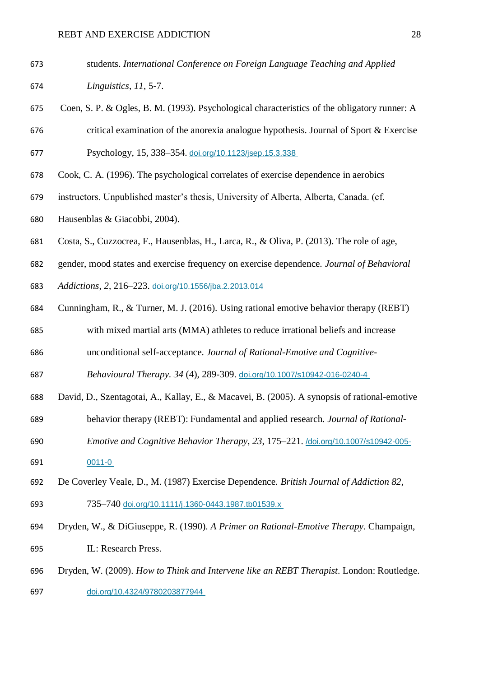- students. *International Conference on Foreign Language Teaching and Applied Linguistics*, *11*, 5-7.
- Coen, S. P. & Ogles, B. M. (1993). Psychological characteristics of the obligatory runner: A critical examination of the anorexia analogue hypothesis. Journal of Sport & Exercise Psychology, 15, 338–354. [doi.org/10.1123/jsep.15.3.338](https://doi.org/10.1123/jsep.15.3.338)
- 
- Cook, C. A. (1996). The psychological correlates of exercise dependence in aerobics
- instructors. Unpublished master's thesis, University of Alberta, Alberta, Canada. (cf.
- Hausenblas & Giacobbi, 2004).
- Costa, S., Cuzzocrea, F., Hausenblas, H., Larca, R., & Oliva, P. (2013). The role of age,
- gender, mood states and exercise frequency on exercise dependence. *Journal of Behavioral*
- *Addictions*, *2*, 216–223. [doi.org/10.1556/jba.2.2013.014](https://doi.org/10.1556/jba.2.2013.014)
- Cunningham, R., & Turner, M. J. (2016). Using rational emotive behavior therapy (REBT)
- with mixed martial arts (MMA) athletes to reduce irrational beliefs and increase
- unconditional self-acceptance. *Journal of Rational-Emotive and Cognitive-*
- *Behavioural Therapy. 34* (4), 289-309. [doi.org/10.1007/s10942-016-0240-4](https://doi.org/10.1007/s10942-016-0240-4)
- David, D., Szentagotai, A., Kallay, E., & Macavei, B. (2005). A synopsis of rational-emotive
- behavior therapy (REBT): Fundamental and applied research. *Journal of Rational-*
- *Emotive and Cognitive Behavior Therapy*, *23*, 175–221. [/doi.org/10.1007/s10942-005-](https://doi.org/10.1007/s10942-005-0011-0)
- [0011-0](https://doi.org/10.1007/s10942-005-0011-0)
- De Coverley Veale, D., M. (1987) Exercise Dependence. *British Journal of Addiction 82*,
- 735–740 [doi.org/10.1111/j.1360-0443.1987.tb01539.x](https://doi.org/10.1111/j.1360-0443.1987.tb01539.x)
- Dryden, W., & DiGiuseppe, R. (1990). *A Primer on Rational-Emotive Therapy*. Champaign, IL: Research Press.
- Dryden, W. (2009). *How to Think and Intervene like an REBT Therapist*. London: Routledge. [doi.org/10.4324/9780203877944](https://doi.org/10.4324/9780203877944)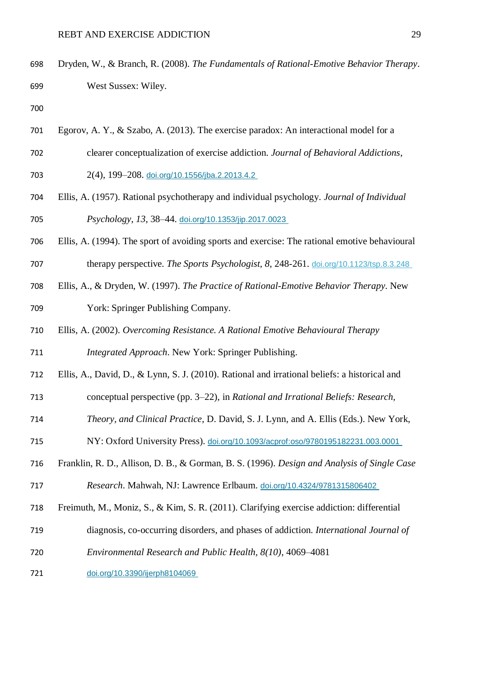- Dryden, W., & Branch, R. (2008). *The Fundamentals of Rational-Emotive Behavior Therapy*. West Sussex: Wiley.
- 
- Egorov, A. Y., & Szabo, A. (2013). The exercise paradox: An interactional model for a
- clearer conceptualization of exercise addiction. *Journal of Behavioral Addictions*,
- 2(4), 199–208. [doi.org/10.1556/jba.2.2013.4.2](https://doi.org/10.1556/jba.2.2013.4.2)
- Ellis, A. (1957). Rational psychotherapy and individual psychology. *Journal of Individual Psychology*, *13*, 38–44. [doi.org/10.1353/jip.2017.0023](https://doi.org/10.1353/jip.2017.0023)
- Ellis, A. (1994). The sport of avoiding sports and exercise: The rational emotive behavioural therapy perspective. *The Sports Psychologist, 8,* 248-261. [doi.org/10.1123/tsp.8.3.248](https://doi.org/10.1123/tsp.8.3.248)
- Ellis, A., & Dryden, W. (1997). *The Practice of Rational-Emotive Behavior Therapy*. New
- York: Springer Publishing Company.
- Ellis, A. (2002). *Overcoming Resistance. A Rational Emotive Behavioural Therapy Integrated Approach*. New York: Springer Publishing.
- Ellis, A., David, D., & Lynn, S. J. (2010). Rational and irrational beliefs: a historical and
- conceptual perspective (pp. 3–22), in *Rational and Irrational Beliefs: Research,*
- *Theory, and Clinical Practice*, D. David, S. J. Lynn, and A. Ellis (Eds.). New York,
- NY: Oxford University Press). [doi.org/10.1093/acprof:oso/9780195182231.003.0001](https://doi.org/10.1093/acprof:oso/9780195182231.003.0001)
- Franklin, R. D., Allison, D. B., & Gorman, B. S. (1996). *Design and Analysis of Single Case Research*. Mahwah, NJ: Lawrence Erlbaum. [doi.org/10.4324/9781315806402](https://doi.org/10.4324/9781315806402)
- Freimuth, M., Moniz, S., & Kim, S. R. (2011). Clarifying exercise addiction: differential
- diagnosis, co-occurring disorders, and phases of addiction. *International Journal of*
- *Environmental Research and Public Health, 8(10)*, 4069–4081
- [doi.org/10.3390/ijerph8104069](https://doi.org/10.3390/ijerph8104069)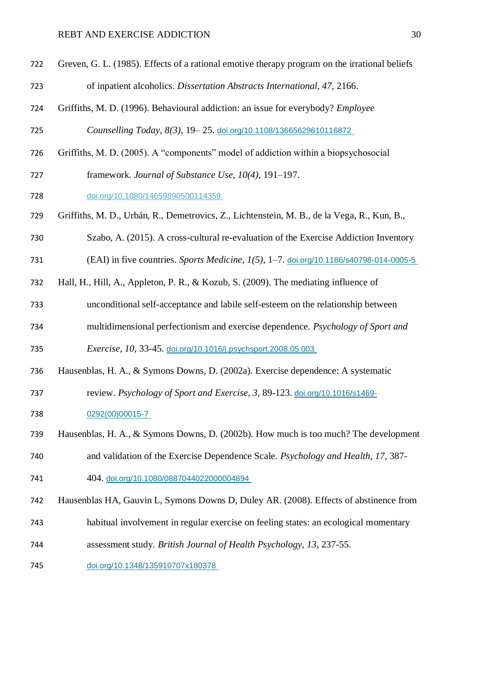- Greven, G. L. (1985). Effects of a rational emotive therapy program on the irrational beliefs of inpatient alcoholics. *Dissertation Abstracts International, 47,* 2166.
- Griffiths, M. D. (1996). Behavioural addiction: an issue for everybody? *Employee*

*Counselling Today, 8(3)*, 19– 25. [doi.org/10.1108/13665629610116872](https://doi.org/10.1108/13665629610116872)

- Griffiths, M. D. (2005). A "components" model of addiction within a biopsychosocial
- framework. *Journal of Substance Use*, *10(4),* 191–197.

[doi.org/10.1080/14659890500114359](https://doi.org/10.1080/14659890500114359)

- Griffiths, M. D., Urbán, R., Demetrovics, Z., Lichtenstein, M. B., de la Vega, R., Kun, B.,
- Szabo, A. (2015). A cross-cultural re-evaluation of the Exercise Addiction Inventory
- (EAI) in five countries. *Sports Medicine, 1(5)*, 1–7. [doi.org/10.1186/s40798-014-0005-5](https://doi.org/10.1186/s40798-014-0005-5)
- Hall, H., Hill, A., Appleton, P. R., & Kozub, S. (2009). The mediating influence of
- unconditional self-acceptance and labile self-esteem on the relationship between
- multidimensional perfectionism and exercise dependence. *Psychology of Sport and*

*Exercise, 10*, 33-45. [doi.org/10.1016/j.psychsport.2008.05.003](https://doi.org/10.1016/j.psychsport.2008.05.003)

- Hausenblas, H. A., & Symons Downs, D. (2002a). Exercise dependence: A systematic
- review. *Psychology of Sport and Exercise, 3*, 89-123. [doi.org/10.1016/s1469-](https://doi.org/10.1016/s1469-0292(00)00015-7) [0292\(00\)00015-7](https://doi.org/10.1016/s1469-0292(00)00015-7)
- Hausenblas, H. A., & Symons Downs, D. (2002b). How much is too much? The development

and validation of the Exercise Dependence Scale. *Psychology and Health, 17*, 387-

404. [doi.org/10.1080/0887044022000004894](https://doi.org/10.1080/0887044022000004894)

Hausenblas HA, Gauvin L, Symons Downs D, Duley AR. (2008). Effects of abstinence from

- habitual involvement in regular exercise on feeling states: an ecological momentary
- assessment study. *British Journal of Health Psychology, 13*, 237-55.
- [doi.org/10.1348/135910707x180378](https://doi.org/10.1348/135910707x180378)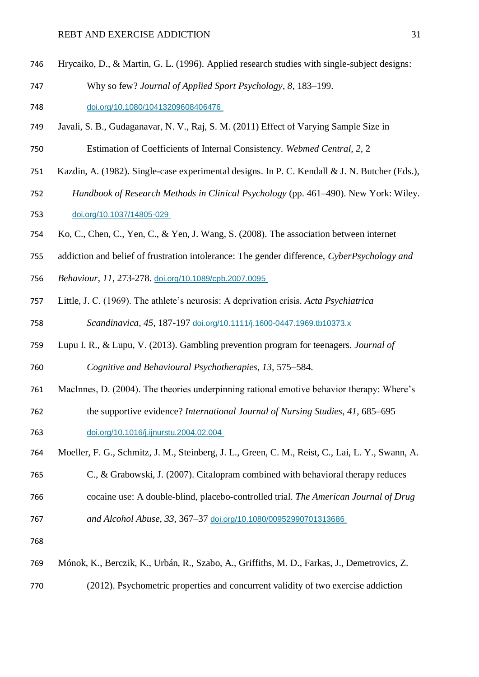- Hrycaiko, D., & Martin, G. L. (1996). Applied research studies with single-subject designs:
- Why so few? *Journal of Applied Sport Psychology*, *8*, 183–199.

[doi.org/10.1080/10413209608406476](https://doi.org/10.1080/10413209608406476)

- Javali, S. B., Gudaganavar, N. V., Raj, S. M. (2011) Effect of Varying Sample Size in
- Estimation of Coefficients of Internal Consistency. *Webmed Central, 2*, 2
- Kazdin, A. (1982). Single-case experimental designs. In P. C. Kendall & J. N. Butcher (Eds.),
- *Handbook of Research Methods in Clinical Psychology* (pp. 461–490). New York: Wiley. [doi.org/10.1037/14805-029](https://doi.org/10.1037/14805-029)
- Ko, C., Chen, C., Yen, C., & Yen, J. Wang, S. (2008). The association between internet
- addiction and belief of frustration intolerance: The gender difference, *CyberPsychology and*
- *Behaviour*, *11*, 273-278. [doi.org/10.1089/cpb.2007.0095](https://doi.org/10.1089/cpb.2007.0095)
- Little, J. C. (1969). The athlete's neurosis: A deprivation crisis. *Acta Psychiatrica Scandinavica, 45*, 187-197 [doi.org/10.1111/j.1600-0447.1969.tb10373.x](https://doi.org/10.1111/j.1600-0447.1969.tb10373.x)
- Lupu I. R., & Lupu, V. (2013). Gambling prevention program for teenagers. *Journal of*
- *Cognitive and Behavioural Psychotherapies, 13,* 575–584.
- MacInnes, D. (2004). The theories underpinning rational emotive behavior therapy: Where's
- the supportive evidence? *International Journal of Nursing Studies*, *41*, 685–695 [doi.org/10.1016/j.ijnurstu.2004.02.004](https://doi.org/10.1016/j.ijnurstu.2004.02.004)
- Moeller, F. G., Schmitz, J. M., Steinberg, J. L., Green, C. M., Reist, C., Lai, L. Y., Swann, A.
- C., & Grabowski, J. (2007). Citalopram combined with behavioral therapy reduces
- cocaine use: A double-blind, placebo-controlled trial. *The American Journal of Drug*
- *and Alcohol Abuse, 33,* 367–37 [doi.org/10.1080/00952990701313686](https://doi.org/10.1080/00952990701313686)
- 
- Mónok, K., Berczik, K., Urbán, R., Szabo, A., Griffiths, M. D., Farkas, J., Demetrovics, Z.
- (2012). Psychometric properties and concurrent validity of two exercise addiction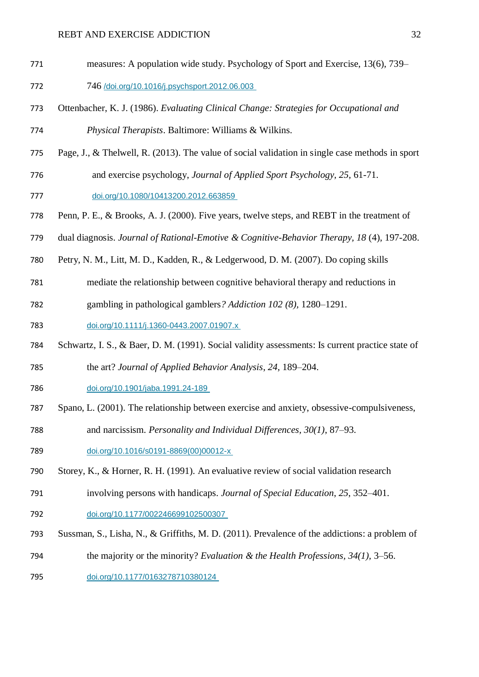- measures: A population wide study. Psychology of Sport and Exercise, 13(6), 739– 746 [/doi.org/10.1016/j.psychsport.2012.06.003](https://doi.org/10.1016/j.psychsport.2012.06.003)
- Ottenbacher, K. J. (1986). *Evaluating Clinical Change: Strategies for Occupational and Physical Therapists*. Baltimore: Williams & Wilkins.
- Page, J., & Thelwell, R. (2013). The value of social validation in single case methods in sport and exercise psychology, *Journal of Applied Sport Psychology, 25,* 61-71.

[doi.org/10.1080/10413200.2012.663859](https://doi.org/10.1080/10413200.2012.663859)

- Penn, P. E., & Brooks, A. J. (2000). Five years, twelve steps, and REBT in the treatment of
- dual diagnosis. *Journal of Rational-Emotive & Cognitive-Behavior Therapy, 18* (4), 197-208.
- Petry, N. M., Litt, M. D., Kadden, R., & Ledgerwood, D. M. (2007). Do coping skills
- mediate the relationship between cognitive behavioral therapy and reductions in
- gambling in pathological gamblers*? Addiction 102 (8),* 1280–1291.

[doi.org/10.1111/j.1360-0443.2007.01907.x](https://doi.org/10.1111/j.1360-0443.2007.01907.x)

- Schwartz, I. S., & Baer, D. M. (1991). Social validity assessments: Is current practice state of
- the art? *Journal of Applied Behavior Analysis*, *24*, 189–204.
- [doi.org/10.1901/jaba.1991.24-189](https://doi.org/10.1901/jaba.1991.24-189)
- Spano, L. (2001). The relationship between exercise and anxiety, obsessive-compulsiveness,

and narcissism. *Personality and Individual Differences, 30(1)*, 87–93.

- [doi.org/10.1016/s0191-8869\(00\)00012-x](https://doi.org/10.1016/s0191-8869(00)00012-x)
- Storey, K., & Horner, R. H. (1991). An evaluative review of social validation research
- involving persons with handicaps. *Journal of Special Education*, *25*, 352–401. [doi.org/10.1177/002246699102500307](https://doi.org/10.1177/002246699102500307)
- Sussman, S., Lisha, N., & Griffiths, M. D. (2011). Prevalence of the addictions: a problem of
- the majority or the minority? *Evaluation & the Health Professions, 34(1),* 3–56.
- [doi.org/10.1177/0163278710380124](https://doi.org/10.1177/0163278710380124)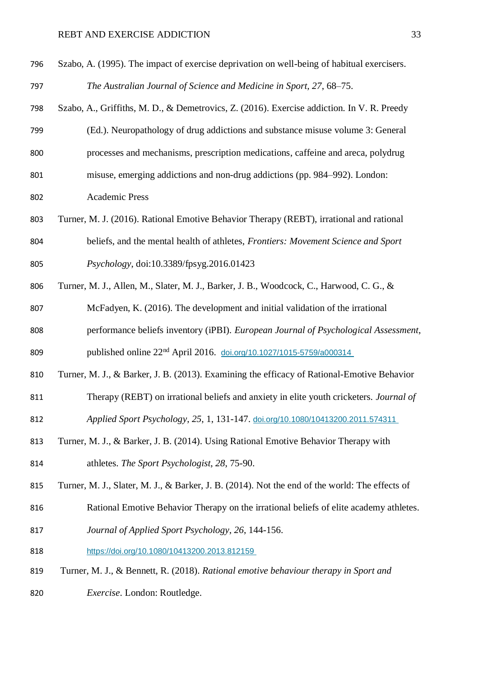- Szabo, A. (1995). The impact of exercise deprivation on well-being of habitual exercisers. *The Australian Journal of Science and Medicine in Sport, 27*, 68–75.
- Szabo, A., Griffiths, M. D., & Demetrovics, Z. (2016). Exercise addiction. In V. R. Preedy
- (Ed.). Neuropathology of drug addictions and substance misuse volume 3: General processes and mechanisms, prescription medications, caffeine and areca, polydrug
- misuse, emerging addictions and non-drug addictions (pp. 984–992). London:

Academic Press

- Turner, M. J. (2016). Rational Emotive Behavior Therapy (REBT), irrational and rational
- beliefs, and the mental health of athletes, *Frontiers: Movement Science and Sport Psychology*, doi:10.3389/fpsyg.2016.01423
- Turner, M. J., Allen, M., Slater, M. J., Barker, J. B., Woodcock, C., Harwood, C. G., &
- McFadyen, K. (2016). The development and initial validation of the irrational
- performance beliefs inventory (iPBI). *European Journal of Psychological Assessment*,

809 published online 22<sup>nd</sup> April 2016. [doi.org/10.1027/1015-5759/a000314](https://doi.org/10.1027/1015-5759/a000314)

- Turner, M. J., & Barker, J. B. (2013). Examining the efficacy of Rational-Emotive Behavior
- Therapy (REBT) on irrational beliefs and anxiety in elite youth cricketers. *Journal of*

*Applied Sport Psychology*, *25*, 1, 131-147. [doi.org/10.1080/10413200.2011.574311](https://doi.org/10.1080/10413200.2011.574311)

- Turner, M. J., & Barker, J. B. (2014). Using Rational Emotive Behavior Therapy with athletes. *The Sport Psychologist*, *28*, 75-90.
- Turner, M. J., Slater, M. J., & Barker, J. B. (2014). Not the end of the world: The effects of
- Rational Emotive Behavior Therapy on the irrational beliefs of elite academy athletes.
- *Journal of Applied Sport Psychology*, *26*, 144-156.
- <https://doi.org/10.1080/10413200.2013.812159>
- Turner, M. J., & Bennett, R. (2018). *Rational emotive behaviour therapy in Sport and*
- *Exercise*. London: Routledge.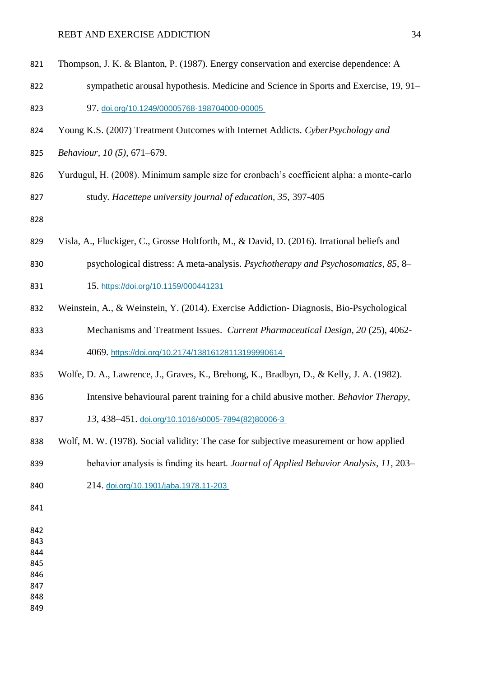- Thompson, J. K. & Blanton, P. (1987). Energy conservation and exercise dependence: A
- sympathetic arousal hypothesis. Medicine and Science in Sports and Exercise, 19, 91– 97. [doi.org/10.1249/00005768-198704000-00005](https://doi.org/10.1249/00005768-198704000-00005)
- Young K.S. (2007) Treatment Outcomes with Internet Addicts. *CyberPsychology and*
- *Behaviour, 10 (5),* 671–679.
- Yurdugul, H. (2008). Minimum sample size for cronbach's coefficient alpha: a monte-carlo study. *Hacettepe university journal of education, 35,* 397-405
- 
- Visla, A., Fluckiger, C., Grosse Holtforth, M., & David, D. (2016). Irrational beliefs and
- psychological distress: A meta-analysis. *Psychotherapy and Psychosomatics*, *85*, 8–
- 15. <https://doi.org/10.1159/000441231>
- Weinstein, A., & Weinstein, Y. (2014). Exercise Addiction- Diagnosis, Bio-Psychological Mechanisms and Treatment Issues. *Current Pharmaceutical Design, 20* (25), 4062-
- 4069. <https://doi.org/10.2174/13816128113199990614>
- Wolfe, D. A., Lawrence, J., Graves, K., Brehong, K., Bradbyn, D., & Kelly, J. A. (1982).
- Intensive behavioural parent training for a child abusive mother. *Behavior Therapy*,
- *13*, 438–451. [doi.org/10.1016/s0005-7894\(82\)80006-3](https://doi.org/10.1016/s0005-7894(82)80006-3)
- Wolf, M. W. (1978). Social validity: The case for subjective measurement or how applied
- behavior analysis is finding its heart. *Journal of Applied Behavior Analysis*, *11*, 203–
- 214. [doi.org/10.1901/jaba.1978.11-203](https://doi.org/10.1901/jaba.1978.11-203)
- 
- 

- 
- 
-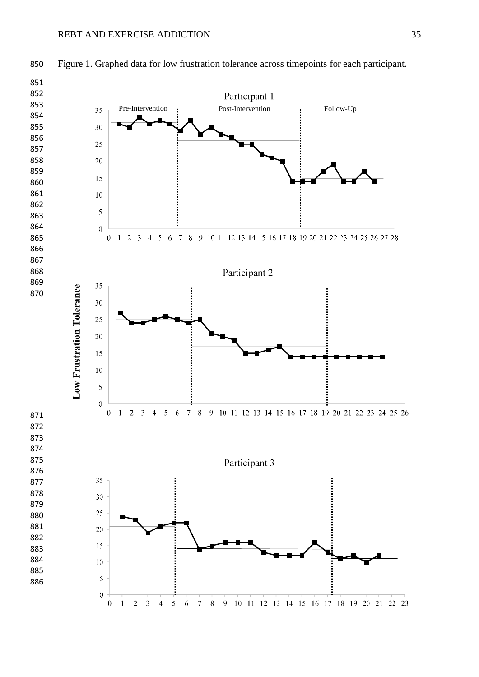